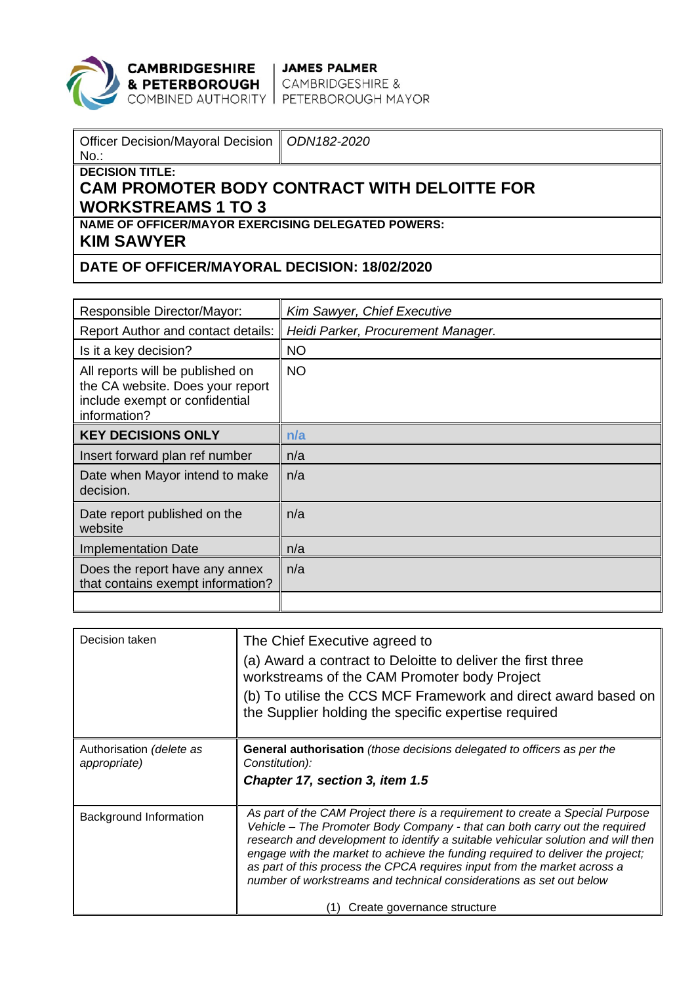

**CAMBRIDGESHIRE | JAMES PALMER<br>& PETERBOROUGH |** CAMBRIDGESHIRE &<br>COMBINED AUTHORITY | PETERBOROUGH MAYOR

| Officer Decision/Mayoral Decision   ODN182-2020<br>$No.$ :                                            |  |  |  |  |
|-------------------------------------------------------------------------------------------------------|--|--|--|--|
| $\parallel$ DECISION TITLE:<br>∣ CAM PROMOTER BODY CONTRACT WITH DELOITTE FOR<br>∥ WORKSTREAMS 1 TO 3 |  |  |  |  |
| $\parallel$ NAME OF OFFICER/MAYOR EXERCISING DELEGATED POWERS:<br>∣ KIM SAWYER                        |  |  |  |  |
| <b>DATE OF OFFICER/MAYORAL DECISION: 18/02/2020</b>                                                   |  |  |  |  |

| Responsible Director/Mayor:                                                                                            | Kim Sawyer, Chief Executive        |
|------------------------------------------------------------------------------------------------------------------------|------------------------------------|
| Report Author and contact details:                                                                                     | Heidi Parker, Procurement Manager. |
| Is it a key decision?                                                                                                  | <b>NO</b>                          |
| All reports will be published on<br>the CA website. Does your report<br>include exempt or confidential<br>information? | <b>NO</b>                          |
| <b>KEY DECISIONS ONLY</b>                                                                                              | n/a                                |
| Insert forward plan ref number                                                                                         | n/a                                |
| Date when Mayor intend to make<br>decision.                                                                            | n/a                                |
| Date report published on the<br>website                                                                                | n/a                                |
| <b>Implementation Date</b>                                                                                             | n/a                                |
| Does the report have any annex<br>that contains exempt information?                                                    | n/a                                |
|                                                                                                                        |                                    |

| Decision taken                           | The Chief Executive agreed to<br>(a) Award a contract to Deloitte to deliver the first three<br>workstreams of the CAM Promoter body Project<br>(b) To utilise the CCS MCF Framework and direct award based on<br>the Supplier holding the specific expertise required                                                                                                                                                                                                                                              |
|------------------------------------------|---------------------------------------------------------------------------------------------------------------------------------------------------------------------------------------------------------------------------------------------------------------------------------------------------------------------------------------------------------------------------------------------------------------------------------------------------------------------------------------------------------------------|
| Authorisation (delete as<br>appropriate) | General authorisation (those decisions delegated to officers as per the<br>Constitution):<br>Chapter 17, section 3, item 1.5                                                                                                                                                                                                                                                                                                                                                                                        |
| Background Information                   | As part of the CAM Project there is a requirement to create a Special Purpose<br>Vehicle – The Promoter Body Company - that can both carry out the required<br>research and development to identify a suitable vehicular solution and will then<br>engage with the market to achieve the funding required to deliver the project;<br>as part of this process the CPCA requires input from the market across a<br>number of workstreams and technical considerations as set out below<br>Create governance structure |